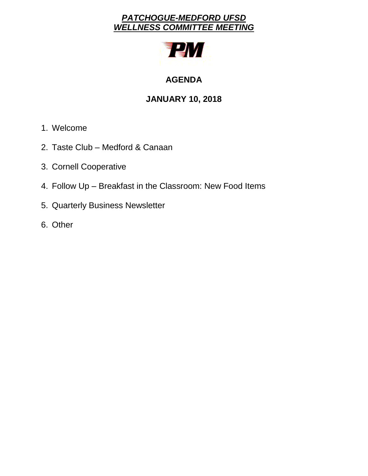# *PATCHOGUE-MEDFORD UFSD WELLNESS COMMITTEE MEETING*



# **AGENDA**

# **JANUARY 10, 2018**

- 1. Welcome
- 2. Taste Club Medford & Canaan
- 3. Cornell Cooperative
- 4. Follow Up Breakfast in the Classroom: New Food Items
- 5. Quarterly Business Newsletter
- 6. Other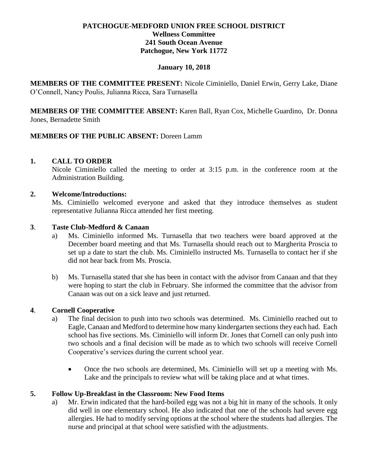### **PATCHOGUE-MEDFORD UNION FREE SCHOOL DISTRICT Wellness Committee 241 South Ocean Avenue Patchogue, New York 11772**

#### **January 10, 2018**

**MEMBERS OF THE COMMITTEE PRESENT:** Nicole Ciminiello, Daniel Erwin, Gerry Lake, Diane O'Connell, Nancy Poulis, Julianna Ricca, Sara Turnasella

**MEMBERS OF THE COMMITTEE ABSENT:** Karen Ball, Ryan Cox, Michelle Guardino, Dr. Donna Jones, Bernadette Smith

### **MEMBERS OF THE PUBLIC ABSENT:** Doreen Lamm

#### **1. CALL TO ORDER**

Nicole Ciminiello called the meeting to order at 3:15 p.m. in the conference room at the Administration Building.

#### **2. Welcome/Introductions:**

Ms. Ciminiello welcomed everyone and asked that they introduce themselves as student representative Julianna Ricca attended her first meeting.

#### **3**. **Taste Club-Medford & Canaan**

- a) Ms. Ciminiello informed Ms. Turnasella that two teachers were board approved at the December board meeting and that Ms. Turnasella should reach out to Margherita Proscia to set up a date to start the club. Ms. Ciminiello instructed Ms. Turnasella to contact her if she did not hear back from Ms. Proscia.
- b) Ms. Turnasella stated that she has been in contact with the advisor from Canaan and that they were hoping to start the club in February. She informed the committee that the advisor from Canaan was out on a sick leave and just returned.

#### **4**. **Cornell Cooperative**

- a) The final decision to push into two schools was determined. Ms. Ciminiello reached out to Eagle, Canaan and Medford to determine how many kindergarten sections they each had. Each school has five sections. Ms. Ciminiello will inform Dr. Jones that Cornell can only push into two schools and a final decision will be made as to which two schools will receive Cornell Cooperative's services during the current school year.
	- Once the two schools are determined, Ms. Ciminiello will set up a meeting with Ms. Lake and the principals to review what will be taking place and at what times.

#### **5. Follow Up-Breakfast in the Classroom: New Food Items**

a) Mr. Erwin indicated that the hard-boiled egg was not a big hit in many of the schools. It only did well in one elementary school. He also indicated that one of the schools had severe egg allergies. He had to modify serving options at the school where the students had allergies. The nurse and principal at that school were satisfied with the adjustments.